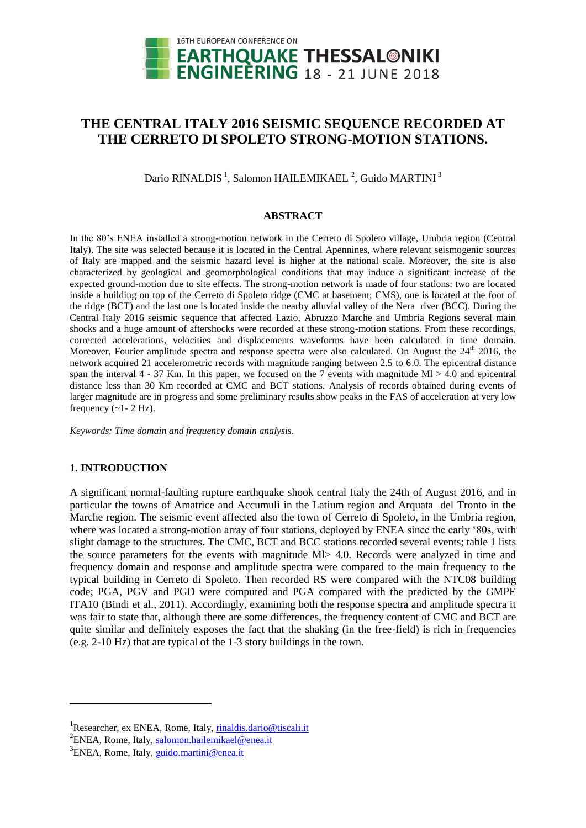

# **THE CENTRAL ITALY 2016 SEISMIC SEQUENCE RECORDED AT THE CERRETO DI SPOLETO STRONG-MOTION STATIONS.**

Dario RINALDIS <sup>1</sup>, Salomon HAILEMIKAEL <sup>2</sup>, Guido MARTINI <sup>3</sup>

#### **ABSTRACT**

In the 80's ENEA installed a strong-motion network in the Cerreto di Spoleto village, Umbria region (Central Italy). The site was selected because it is located in the Central Apennines, where relevant seismogenic sources of Italy are mapped and the seismic hazard level is higher at the national scale. Moreover, the site is also characterized by geological and geomorphological conditions that may induce a significant increase of the expected ground-motion due to site effects. The strong-motion network is made of four stations: two are located inside a building on top of the Cerreto di Spoleto ridge (CMC at basement; CMS), one is located at the foot of the ridge (BCT) and the last one is located inside the nearby alluvial valley of the Nera river (BCC). During the Central Italy 2016 seismic sequence that affected Lazio, Abruzzo Marche and Umbria Regions several main shocks and a huge amount of aftershocks were recorded at these strong-motion stations. From these recordings, corrected accelerations, velocities and displacements waveforms have been calculated in time domain. Moreover, Fourier amplitude spectra and response spectra were also calculated. On August the 24<sup>th</sup> 2016, the network acquired 21 accelerometric records with magnitude ranging between 2.5 to 6.0. The epicentral distance span the interval 4 - 37 Km. In this paper, we focused on the 7 events with magnitude Ml  $> 4.0$  and epicentral distance less than 30 Km recorded at CMC and BCT stations. Analysis of records obtained during events of larger magnitude are in progress and some preliminary results show peaks in the FAS of acceleration at very low frequency  $(-1 - 2 Hz)$ .

*Keywords: Time domain and frequency domain analysis.*

## **1. INTRODUCTION**

l

A significant normal-faulting rupture earthquake shook central Italy the 24th of August 2016, and in particular the towns of Amatrice and Accumuli in the Latium region and Arquata del Tronto in the Marche region. The seismic event affected also the town of Cerreto di Spoleto, in the Umbria region, where was located a strong-motion array of four stations, deployed by ENEA since the early '80s, with slight damage to the structures. The CMC, BCT and BCC stations recorded several events; table 1 lists the source parameters for the events with magnitude Ml> 4.0. Records were analyzed in time and frequency domain and response and amplitude spectra were compared to the main frequency to the typical building in Cerreto di Spoleto. Then recorded RS were compared with the NTC08 building code; PGA, PGV and PGD were computed and PGA compared with the predicted by the GMPE ITA10 (Bindi et al., 2011). Accordingly, examining both the response spectra and amplitude spectra it was fair to state that, although there are some differences, the frequency content of CMC and BCT are quite similar and definitely exposes the fact that the shaking (in the free-field) is rich in frequencies (e.g. 2-10 Hz) that are typical of the 1-3 story buildings in the town.

<sup>&</sup>lt;sup>1</sup>Researcher, ex ENEA, Rome, Italy, rinaldis.dario@tiscali.it

<sup>&</sup>lt;sup>2</sup>ENEA, Rome, Italy, salomon.hailemikael@enea.it

<sup>&</sup>lt;sup>3</sup>ENEA, Rome, Italy, guido.martini@enea.it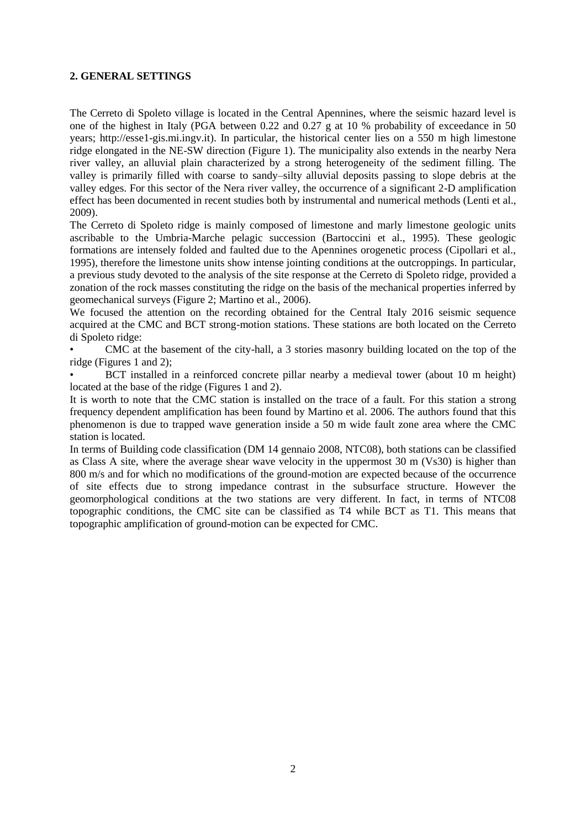## **2. GENERAL SETTINGS**

The Cerreto di Spoleto village is located in the Central Apennines, where the seismic hazard level is one of the highest in Italy (PGA between 0.22 and 0.27 g at 10 % probability of exceedance in 50 years; http://esse1-gis.mi.ingv.it). In particular, the historical center lies on a 550 m high limestone ridge elongated in the NE-SW direction (Figure 1). The municipality also extends in the nearby Nera river valley, an alluvial plain characterized by a strong heterogeneity of the sediment filling. The valley is primarily filled with coarse to sandy–silty alluvial deposits passing to slope debris at the valley edges. For this sector of the Nera river valley, the occurrence of a significant 2-D amplification effect has been documented in recent studies both by instrumental and numerical methods (Lenti et al., 2009).

The Cerreto di Spoleto ridge is mainly composed of limestone and marly limestone geologic units ascribable to the Umbria-Marche pelagic succession (Bartoccini et al., 1995). These geologic formations are intensely folded and faulted due to the Apennines orogenetic process (Cipollari et al., 1995), therefore the limestone units show intense jointing conditions at the outcroppings. In particular, a previous study devoted to the analysis of the site response at the Cerreto di Spoleto ridge, provided a zonation of the rock masses constituting the ridge on the basis of the mechanical properties inferred by geomechanical surveys (Figure 2; Martino et al., 2006).

We focused the attention on the recording obtained for the Central Italy 2016 seismic sequence acquired at the CMC and BCT strong-motion stations. These stations are both located on the Cerreto di Spoleto ridge:

• CMC at the basement of the city-hall, a 3 stories masonry building located on the top of the ridge (Figures 1 and 2);

• BCT installed in a reinforced concrete pillar nearby a medieval tower (about 10 m height) located at the base of the ridge (Figures 1 and 2).

It is worth to note that the CMC station is installed on the trace of a fault. For this station a strong frequency dependent amplification has been found by Martino et al. 2006. The authors found that this phenomenon is due to trapped wave generation inside a 50 m wide fault zone area where the CMC station is located.

In terms of Building code classification (DM 14 gennaio 2008, NTC08), both stations can be classified as Class A site, where the average shear wave velocity in the uppermost 30 m (Vs30) is higher than 800 m/s and for which no modifications of the ground-motion are expected because of the occurrence of site effects due to strong impedance contrast in the subsurface structure. However the geomorphological conditions at the two stations are very different. In fact, in terms of NTC08 topographic conditions, the CMC site can be classified as T4 while BCT as T1. This means that topographic amplification of ground-motion can be expected for CMC.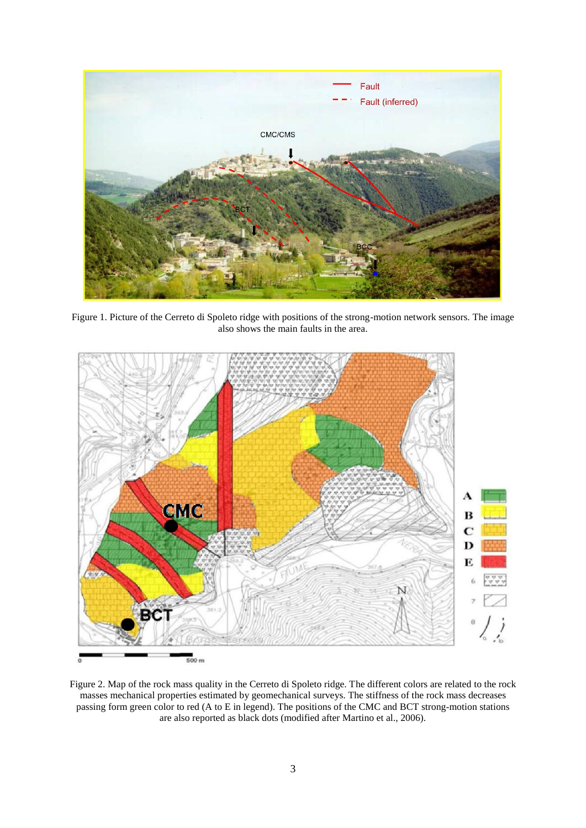

Figure 1. Picture of the Cerreto di Spoleto ridge with positions of the strong-motion network sensors. The image also shows the main faults in the area.



Figure 2. Map of the rock mass quality in the Cerreto di Spoleto ridge. The different colors are related to the rock masses mechanical properties estimated by geomechanical surveys. The stiffness of the rock mass decreases passing form green color to red (A to E in legend). The positions of the CMC and BCT strong-motion stations are also reported as black dots (modified after Martino et al., 2006).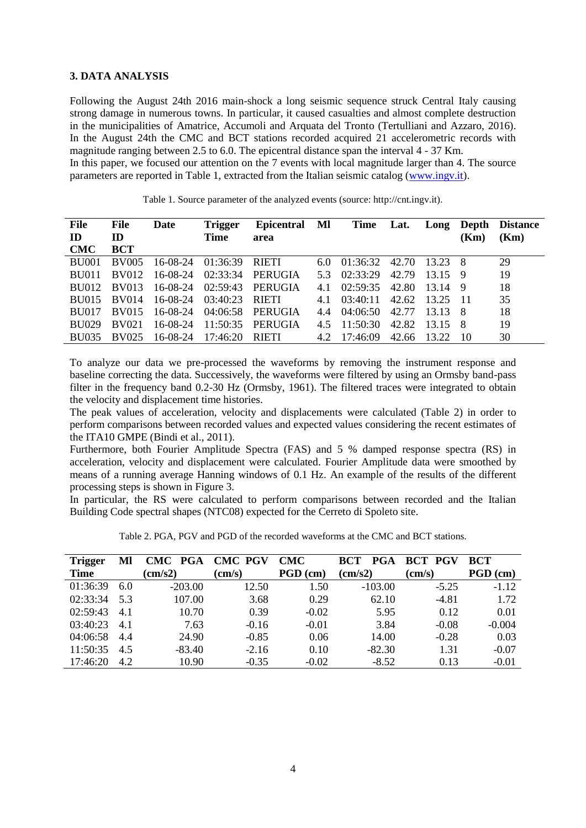#### **3. DATA ANALYSIS**

Following the August 24th 2016 main-shock a long seismic sequence struck Central Italy causing strong damage in numerous towns. In particular, it caused casualties and almost complete destruction in the municipalities of Amatrice, Accumoli and Arquata del Tronto (Tertulliani and Azzaro, 2016). In the August 24th the CMC and BCT stations recorded acquired 21 accelerometric records with magnitude ranging between 2.5 to 6.0. The epicentral distance span the interval 4 - 37 Km. In this paper, we focused our attention on the 7 events with local magnitude larger than 4. The source parameters are reported in Table 1, extracted from the Italian seismic catalog [\(www.ingv.it\)](http://www.ingv.it/).

| File<br>ID<br>CMC | File<br>ID<br><b>BCT</b> | Date     | <b>Trigger</b><br><b>Time</b> | Epicentral MI<br>area |     |                          |       |           | (Km) | Time Lat. Long Depth Distance<br>(Km) |
|-------------------|--------------------------|----------|-------------------------------|-----------------------|-----|--------------------------|-------|-----------|------|---------------------------------------|
| BU001             | <b>BV005</b>             | 16-08-24 | 01:36:39 RIETI                |                       |     | $6.0$ $01:36:32$ $42.70$ |       | 13.23 8   |      | 29                                    |
| <b>BU011</b>      | BV012                    | 16-08-24 |                               | $02:33:34$ PERUGIA    | 5.3 | 02:33:29                 | 42.79 | $13.15$ 9 |      | 19                                    |
|                   | BU012 BV013              | 16-08-24 | 02:59:43                      | PERUGIA               | 4.1 | 02:59:35                 | 42.80 | 13.14 9   |      | 18                                    |
|                   | BU015 BV014              | 16-08-24 | 03:40:23 RIETI                |                       | 41  | 03:40:11                 | 42.62 | 13.25 11  |      | 35                                    |
| BU017             | <b>BV015</b>             | 16-08-24 |                               | 04:06:58 PERUGIA      |     | $4.4 \quad 04:06:50$     | 42.77 | 13.13 8   |      | 18                                    |
| <b>BU029</b>      | <b>BV021</b>             | 16-08-24 |                               | $11:50:35$ PERUGIA    |     | $4.5$ 11:50:30           | 42.82 | 13.15 8   |      | 19                                    |
|                   | BU035 BV025              | 16-08-24 | 17:46:20                      | RIETI                 |     | 4.2 17:46:09             | 42.66 | 13.22     | -10  | 30                                    |

Table 1. Source parameter of the analyzed events (source: http://cnt.ingv.it).

To analyze our data we pre-processed the waveforms by removing the instrument response and baseline correcting the data. Successively, the waveforms were filtered by using an Ormsby band-pass filter in the frequency band 0.2-30 Hz (Ormsby, 1961). The filtered traces were integrated to obtain the velocity and displacement time histories.

The peak values of acceleration, velocity and displacements were calculated (Table 2) in order to perform comparisons between recorded values and expected values considering the recent estimates of the ITA10 GMPE (Bindi et al., 2011).

Furthermore, both Fourier Amplitude Spectra (FAS) and 5 % damped response spectra (RS) in acceleration, velocity and displacement were calculated. Fourier Amplitude data were smoothed by means of a running average Hanning windows of 0.1 Hz. An example of the results of the different processing steps is shown in Figure 3.

In particular, the RS were calculated to perform comparisons between recorded and the Italian Building Code spectral shapes (NTC08) expected for the Cerreto di Spoleto site.

Table 2. PGA, PGV and PGD of the recorded waveforms at the CMC and BCT stations.

| <b>Trigger</b> | Ml  | CMC PGA          | <b>CMC PGV</b>  | CMC        | <b>BCT</b><br><b>PGA</b> | <b>BCT PGV</b>  | <b>BCT</b> |
|----------------|-----|------------------|-----------------|------------|--------------------------|-----------------|------------|
| <b>Time</b>    |     | $\text{(cm/s2)}$ | $\text{(cm/s)}$ | $PGD$ (cm) | $\text{(cm/s2)}$         | $\text{(cm/s)}$ | $PGD$ (cm) |
| 01:36:39       | 6.0 | $-203.00$        | 12.50           | 1.50       | $-103.00$                | $-5.25$         | $-1.12$    |
| 02:33:34       | 5.3 | 107.00           | 3.68            | 0.29       | 62.10                    | $-4.81$         | 1.72       |
| 02:59:43       | 4.1 | 10.70            | 0.39            | $-0.02$    | 5.95                     | 0.12            | 0.01       |
| 03:40:23       | 4.1 | 7.63             | $-0.16$         | $-0.01$    | 3.84                     | $-0.08$         | $-0.004$   |
| 04:06:58       | 4.4 | 24.90            | $-0.85$         | 0.06       | 14.00                    | $-0.28$         | 0.03       |
| 11:50:35       | 4.5 | $-83.40$         | $-2.16$         | 0.10       | $-82.30$                 | 1.31            | $-0.07$    |
| 17:46:20       | 4.2 | 10.90            | $-0.35$         | $-0.02$    | $-8.52$                  | 0.13            | $-0.01$    |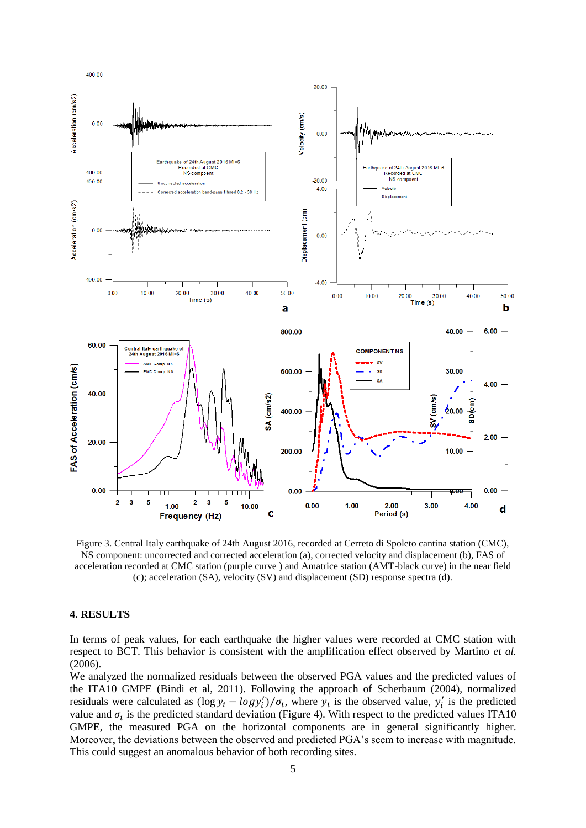

Figure 3. Central Italy earthquake of 24th August 2016, recorded at Cerreto di Spoleto cantina station (CMC), NS component: uncorrected and corrected acceleration (a), corrected velocity and displacement (b), FAS of acceleration recorded at CMC station (purple curve ) and Amatrice station (AMT-black curve) in the near field (c); acceleration (SA), velocity (SV) and displacement (SD) response spectra (d).

#### **4. RESULTS**

In terms of peak values, for each earthquake the higher values were recorded at CMC station with respect to BCT. This behavior is consistent with the amplification effect observed by Martino *et al.* (2006).

We analyzed the normalized residuals between the observed PGA values and the predicted values of the ITA10 GMPE (Bindi et al, 2011). Following the approach of Scherbaum (2004), normalized residuals were calculated as  $(\log y_i - \log y_i')/\sigma_i$ , where  $y_i$  is the observed value,  $y_i'$  is the predicted value and  $\sigma_i$  is the predicted standard deviation (Figure 4). With respect to the predicted values ITA10 GMPE, the measured PGA on the horizontal components are in general significantly higher. Moreover, the deviations between the observed and predicted PGA's seem to increase with magnitude. This could suggest an anomalous behavior of both recording sites.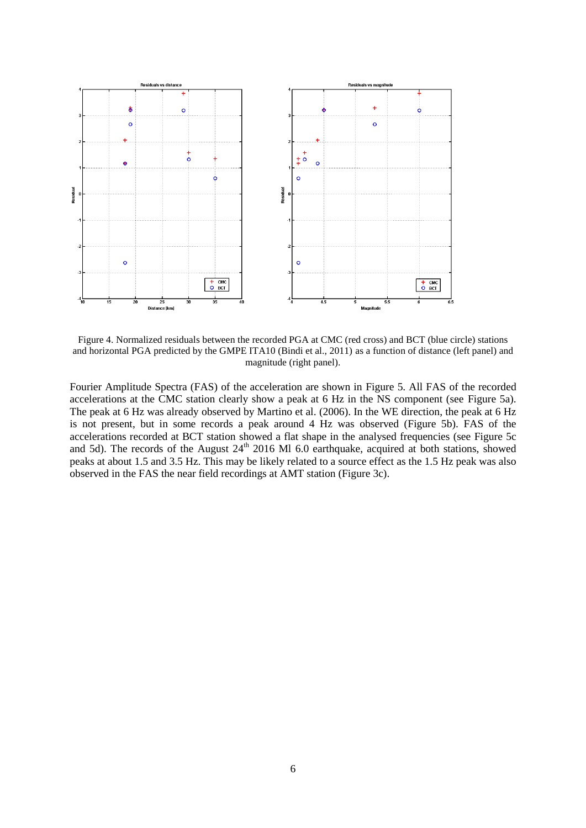

Figure 4. Normalized residuals between the recorded PGA at CMC (red cross) and BCT (blue circle) stations and horizontal PGA predicted by the GMPE ITA10 (Bindi et al., 2011) as a function of distance (left panel) and magnitude (right panel).

Fourier Amplitude Spectra (FAS) of the acceleration are shown in Figure 5. All FAS of the recorded accelerations at the CMC station clearly show a peak at 6 Hz in the NS component (see Figure 5a). The peak at 6 Hz was already observed by Martino et al. (2006). In the WE direction, the peak at 6 Hz is not present, but in some records a peak around 4 Hz was observed (Figure 5b). FAS of the accelerations recorded at BCT station showed a flat shape in the analysed frequencies (see Figure 5c and 5d). The records of the August  $24<sup>th</sup>$  2016 Ml 6.0 earthquake, acquired at both stations, showed peaks at about 1.5 and 3.5 Hz. This may be likely related to a source effect as the 1.5 Hz peak was also observed in the FAS the near field recordings at AMT station (Figure 3c).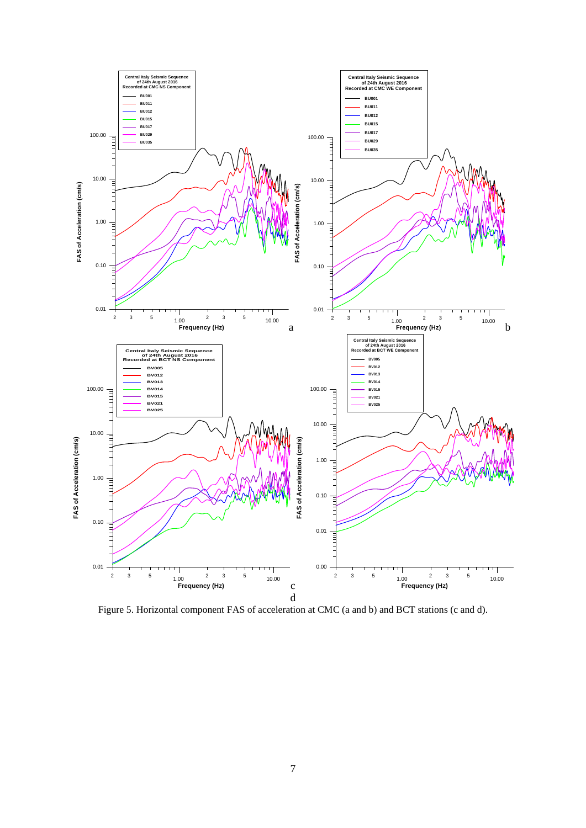

Figure 5. Horizontal component FAS of acceleration at CMC (a and b) and BCT stations (c and d).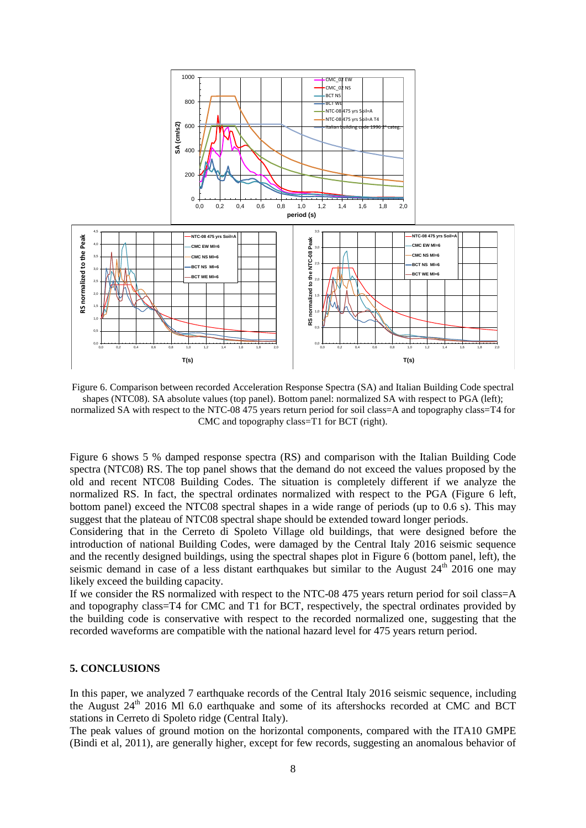

Figure 6. Comparison between recorded Acceleration Response Spectra (SA) and Italian Building Code spectral shapes (NTC08). SA absolute values (top panel). Bottom panel: normalized SA with respect to PGA (left); normalized SA with respect to the NTC-08 475 years return period for soil class=A and topography class=T4 for CMC and topography class=T1 for BCT (right).

Figure 6 shows 5 % damped response spectra (RS) and comparison with the Italian Building Code spectra (NTC08) RS. The top panel shows that the demand do not exceed the values proposed by the old and recent NTC08 Building Codes. The situation is completely different if we analyze the normalized RS. In fact, the spectral ordinates normalized with respect to the PGA (Figure 6 left, bottom panel) exceed the NTC08 spectral shapes in a wide range of periods (up to 0.6 s). This may suggest that the plateau of NTC08 spectral shape should be extended toward longer periods.

Considering that in the Cerreto di Spoleto Village old buildings, that were designed before the introduction of national Building Codes, were damaged by the Central Italy 2016 seismic sequence and the recently designed buildings, using the spectral shapes plot in Figure 6 (bottom panel, left), the seismic demand in case of a less distant earthquakes but similar to the August  $24<sup>th</sup>$  2016 one may likely exceed the building capacity.

If we consider the RS normalized with respect to the NTC-08 475 years return period for soil class=A and topography class=T4 for CMC and T1 for BCT, respectively, the spectral ordinates provided by the building code is conservative with respect to the recorded normalized one, suggesting that the recorded waveforms are compatible with the national hazard level for 475 years return period.

#### **5. CONCLUSIONS**

In this paper, we analyzed 7 earthquake records of the Central Italy 2016 seismic sequence, including the August  $24<sup>th</sup>$  2016 Ml 6.0 earthquake and some of its aftershocks recorded at CMC and BCT stations in Cerreto di Spoleto ridge (Central Italy).

The peak values of ground motion on the horizontal components, compared with the ITA10 GMPE (Bindi et al, 2011), are generally higher, except for few records, suggesting an anomalous behavior of